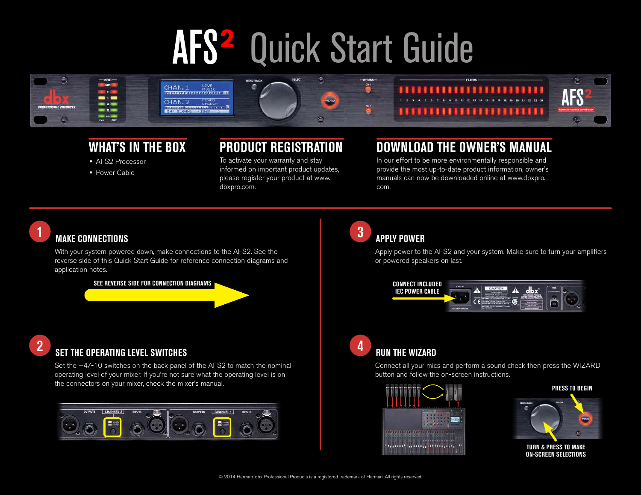# AFS<sup>2</sup> Quick Start Guide



#### **WHAT'S IN THE BOX**

- **•** AFS2 Processor
- **•** Power Cable

#### **PRODUCT REGISTRATION**

To activate your warranty and stay informed on important product updates, please register your product at www. dbxpro.com.

#### **DOWNLOAD THE OWNER'S MANUAL**

In our effort to be more environmentally responsible and provide the most up-to-date product information, owner's manuals can now be downloaded online at www.dbxpro. com.



### **1** MAKE CONNECTIONS

With your system powered down, make connections to the AFS2. See the reverse side of this Quick Start Guide for reference connection diagrams and application notes.

**SEE REVERSE SIDE FOR CONNECTION DIAGRAMS**



## **2 SET THE OPERATING LEVEL SWITCHES**

Set the +4/-10 switches on the back panel of the AFS2 to match the nominal operating level of your mixer. If you're not sure what the operating level is on the connectors on your mixer, check the mixer's manual.



#### **3 APPLY POWER**

Apply power to the AFS2 and your system. Make sure to turn your amplifiers or powered speakers on last.



#### **4** RUN THE WIZARD

Connect all your mics and perform a sound check then press the WIZARD button and follow the on-screen instructions.



#### **PRESS TO BEGIN**



**TURN & PRESS TO MAKE ON-SCREEN SELECTIONS**